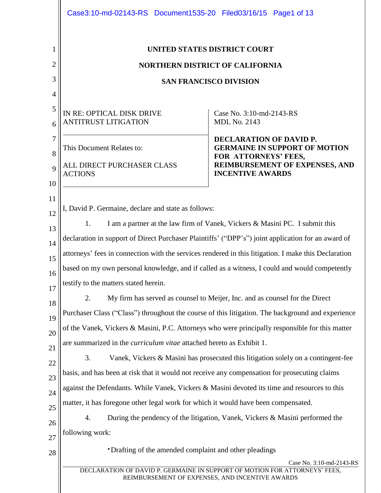|                | Case3:10-md-02143-RS Document1535-20 Filed03/16/15 Page1 of 13                                                                                            |                                                                              |  |  |  |  |  |
|----------------|-----------------------------------------------------------------------------------------------------------------------------------------------------------|------------------------------------------------------------------------------|--|--|--|--|--|
| 1<br>2         | UNITED STATES DISTRICT COURT<br><b>NORTHERN DISTRICT OF CALIFORNIA</b>                                                                                    |                                                                              |  |  |  |  |  |
| 3              | <b>SAN FRANCISCO DIVISION</b>                                                                                                                             |                                                                              |  |  |  |  |  |
| 4              |                                                                                                                                                           |                                                                              |  |  |  |  |  |
| 5              |                                                                                                                                                           |                                                                              |  |  |  |  |  |
| 6              | IN RE: OPTICAL DISK DRIVE<br><b>ANTITRUST LITIGATION</b>                                                                                                  | Case No. 3:10-md-2143-RS<br><b>MDL No. 2143</b>                              |  |  |  |  |  |
| $\overline{7}$ |                                                                                                                                                           | DECLARATION OF DAVID P.                                                      |  |  |  |  |  |
| 8              | This Document Relates to:                                                                                                                                 | <b>GERMAINE IN SUPPORT OF MOTION</b><br>FOR ATTORNEYS' FEES,                 |  |  |  |  |  |
| 9              | ALL DIRECT PURCHASER CLASS<br><b>ACTIONS</b>                                                                                                              | <b>REIMBURSEMENT OF EXPENSES, AND</b><br><b>INCENTIVE AWARDS</b>             |  |  |  |  |  |
| 10             |                                                                                                                                                           |                                                                              |  |  |  |  |  |
| 11<br>12       | I, David P. Germaine, declare and state as follows:                                                                                                       |                                                                              |  |  |  |  |  |
| 13             | I am a partner at the law firm of Vanek, Vickers & Masini PC. I submit this<br>1.                                                                         |                                                                              |  |  |  |  |  |
| 14             | declaration in support of Direct Purchaser Plaintiffs' ("DPP's") joint application for an award of                                                        |                                                                              |  |  |  |  |  |
| 15             | attorneys' fees in connection with the services rendered in this litigation. I make this Declaration                                                      |                                                                              |  |  |  |  |  |
| 16             | based on my own personal knowledge, and if called as a witness, I could and would competently                                                             |                                                                              |  |  |  |  |  |
| 17             | testify to the matters stated herein.                                                                                                                     |                                                                              |  |  |  |  |  |
| 18             | My firm has served as counsel to Meijer, Inc. and as counsel for the Direct<br>2.                                                                         |                                                                              |  |  |  |  |  |
| 19             | Purchaser Class ("Class") throughout the course of this litigation. The background and experience                                                         |                                                                              |  |  |  |  |  |
| 20             | of the Vanek, Vickers & Masini, P.C. Attorneys who were principally responsible for this matter                                                           |                                                                              |  |  |  |  |  |
| 21             | are summarized in the <i>curriculum vitae</i> attached hereto as Exhibit 1.                                                                               |                                                                              |  |  |  |  |  |
| 22             | 3.<br>Vanek, Vickers & Masini has prosecuted this litigation solely on a contingent-fee                                                                   |                                                                              |  |  |  |  |  |
| 23             | basis, and has been at risk that it would not receive any compensation for prosecuting claims                                                             |                                                                              |  |  |  |  |  |
| 24             | against the Defendants. While Vanek, Vickers & Masini devoted its time and resources to this                                                              |                                                                              |  |  |  |  |  |
| 25             | matter, it has foregone other legal work for which it would have been compensated.                                                                        |                                                                              |  |  |  |  |  |
| 26             | 4.                                                                                                                                                        | During the pendency of the litigation, Vanek, Vickers & Masini performed the |  |  |  |  |  |
| 27             | following work:                                                                                                                                           |                                                                              |  |  |  |  |  |
| 28             | •Drafting of the amended complaint and other pleadings                                                                                                    |                                                                              |  |  |  |  |  |
|                | Case No. 3:10-md-2143-RS<br>DECLARATION OF DAVID P. GERMAINE IN SUPPORT OF MOTION FOR ATTORNEYS' FEES,<br>REIMBURSEMENT OF EXPENSES, AND INCENTIVE AWARDS |                                                                              |  |  |  |  |  |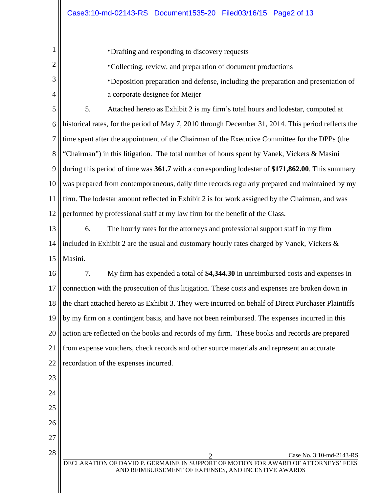| 1              | • Drafting and responding to discovery requests                                                                                           |  |  |  |  |
|----------------|-------------------------------------------------------------------------------------------------------------------------------------------|--|--|--|--|
| $\overline{2}$ | • Collecting, review, and preparation of document productions                                                                             |  |  |  |  |
| 3              | • Deposition preparation and defense, including the preparation and presentation of                                                       |  |  |  |  |
| 4              | a corporate designee for Meijer                                                                                                           |  |  |  |  |
| 5              | 5.<br>Attached hereto as Exhibit 2 is my firm's total hours and lodestar, computed at                                                     |  |  |  |  |
| 6              | historical rates, for the period of May 7, 2010 through December 31, 2014. This period reflects the                                       |  |  |  |  |
| 7              | time spent after the appointment of the Chairman of the Executive Committee for the DPPs (the                                             |  |  |  |  |
| 8              | "Chairman") in this litigation. The total number of hours spent by Vanek, Vickers & Masini                                                |  |  |  |  |
| 9              | during this period of time was 361.7 with a corresponding lodestar of \$171,862.00. This summary                                          |  |  |  |  |
| 10             | was prepared from contemporaneous, daily time records regularly prepared and maintained by my                                             |  |  |  |  |
| 11             | firm. The lodestar amount reflected in Exhibit 2 is for work assigned by the Chairman, and was                                            |  |  |  |  |
| 12             | performed by professional staff at my law firm for the benefit of the Class.                                                              |  |  |  |  |
| 13             | 6.<br>The hourly rates for the attorneys and professional support staff in my firm                                                        |  |  |  |  |
| 14             | included in Exhibit 2 are the usual and customary hourly rates charged by Vanek, Vickers &                                                |  |  |  |  |
| 15             | Masini.                                                                                                                                   |  |  |  |  |
| 16             | 7.<br>My firm has expended a total of \$4,344.30 in unreimbursed costs and expenses in                                                    |  |  |  |  |
| 17             | connection with the prosecution of this litigation. These costs and expenses are broken down in                                           |  |  |  |  |
| 18             | the chart attached hereto as Exhibit 3. They were incurred on behalf of Direct Purchaser Plaintiffs                                       |  |  |  |  |
| 19             | by my firm on a contingent basis, and have not been reimbursed. The expenses incurred in this                                             |  |  |  |  |
| 20             | action are reflected on the books and records of my firm. These books and records are prepared                                            |  |  |  |  |
| 21             | from expense vouchers, check records and other source materials and represent an accurate                                                 |  |  |  |  |
| 22             | recordation of the expenses incurred.                                                                                                     |  |  |  |  |
| 23             |                                                                                                                                           |  |  |  |  |
| 24             |                                                                                                                                           |  |  |  |  |
| 25             |                                                                                                                                           |  |  |  |  |
| 26             |                                                                                                                                           |  |  |  |  |
| 27             |                                                                                                                                           |  |  |  |  |
| 28             | Case No. 3:10-md-2143-RS                                                                                                                  |  |  |  |  |
|                | DECLARATION OF DAVID P. GERMAINE IN SUPPORT OF MOTION FOR AWARD OF ATTORNEYS' FEES<br>AND REIMBURSEMENT OF EXPENSES, AND INCENTIVE AWARDS |  |  |  |  |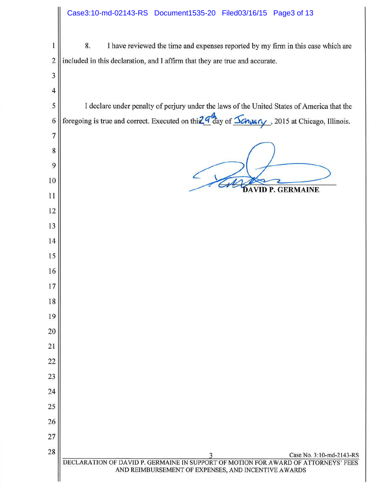#### Case3:10-md-02143-RS Document1535-20 Filed03/16/15 Page3 of 13

 $\mathbf 1$ 8. I have reviewed the time and expenses reported by my firm in this case which are  $\overline{2}$ included in this declaration, and I affirm that they are true and accurate. 

 $\overline{4}$ I declare under penalty of perjury under the laws of the United States of America that the foregoing is true and correct. Executed on thi $2.4$  day of  $\frac{\sqrt{2}}{2}$  day of  $\frac{\sqrt{2}}{2}$ , 2015 at Chicago, Illinois.  $\overline{7}$ **DAVID P. GERMAINE** Case No. 3:10-md-2143-RS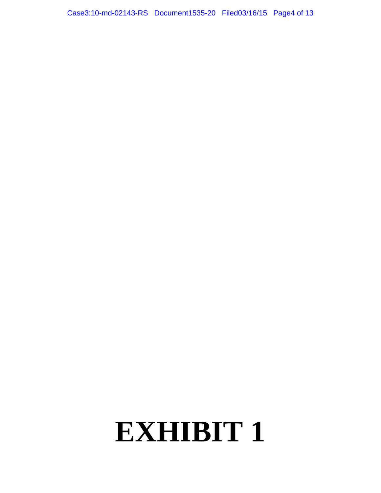Case3:10-md-02143-RS Document1535-20 Filed03/16/15 Page4 of 13

## **EXHIBIT 1**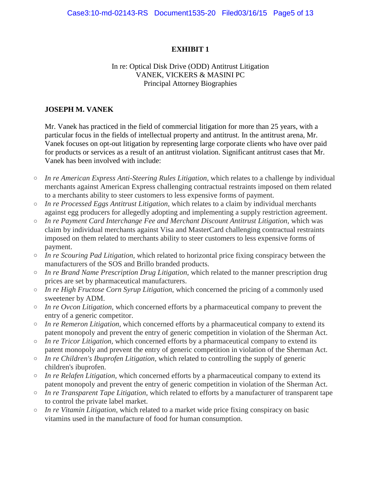#### In re: Optical Disk Drive (ODD) Antitrust Litigation VANEK, VICKERS & MASINI PC Principal Attorney Biographies

#### **JOSEPH M. VANEK**

Mr. Vanek has practiced in the field of commercial litigation for more than 25 years, with a particular focus in the fields of intellectual property and antitrust. In the antitrust arena, Mr. Vanek focuses on opt-out litigation by representing large corporate clients who have over paid for products or services as a result of an antitrust violation. Significant antitrust cases that Mr. Vanek has been involved with include:

- o *In re American Express Anti-Steering Rules Litigation,* which relates to a challenge by individual merchants against American Express challenging contractual restraints imposed on them related to a merchants ability to steer customers to less expensive forms of payment.
- o *In re Processed Eggs Antitrust Litigation,* which relates to a claim by individual merchants against egg producers for allegedly adopting and implementing a supply restriction agreement.
- o *In re Payment Card Interchange Fee and Merchant Discount Antitrust Litigation,* which was claim by individual merchants against Visa and MasterCard challenging contractual restraints imposed on them related to merchants ability to steer customers to less expensive forms of payment.
- o *In re Scouring Pad Litigation,* which related to horizontal price fixing conspiracy between the manufacturers of the SOS and Brillo branded products.
- o *In re Brand Name Prescription Drug Litigation,* which related to the manner prescription drug prices are set by pharmaceutical manufacturers.
- o *In re High Fructose Corn Syrup Litigation,* which concerned the pricing of a commonly used sweetener by ADM.
- o *In re Ovcon Litigation,* which concerned efforts by a pharmaceutical company to prevent the entry of a generic competitor.
- o *In re Remeron Litigation,* which concerned efforts by a pharmaceutical company to extend its patent monopoly and prevent the entry of generic competition in violation of the Sherman Act.
- o *In re Tricor Litigation,* which concerned efforts by a pharmaceutical company to extend its patent monopoly and prevent the entry of generic competition in violation of the Sherman Act.
- o *In re Children's Ibuprofen Litigation,* which related to controlling the supply of generic children's ibuprofen.
- o *In re Relafen Litigation,* which concerned efforts by a pharmaceutical company to extend its patent monopoly and prevent the entry of generic competition in violation of the Sherman Act.
- o *In re Transparent Tape Litigation,* which related to efforts by a manufacturer of transparent tape to control the private label market.
- o *In re Vitamin Litigation,* which related to a market wide price fixing conspiracy on basic vitamins used in the manufacture of food for human consumption.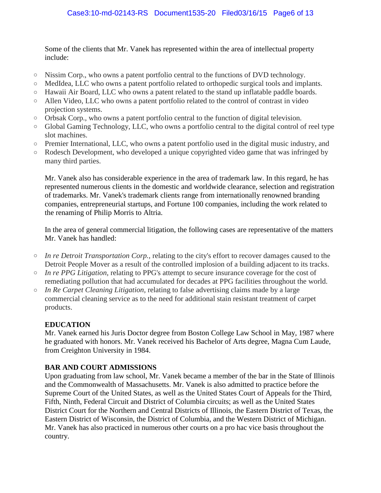Some of the clients that Mr. Vanek has represented within the area of intellectual property include:

- o Nissim Corp., who owns a patent portfolio central to the functions of DVD technology.
- o MedIdea, LLC who owns a patent portfolio related to orthopedic surgical tools and implants.
- o Hawaii Air Board, LLC who owns a patent related to the stand up inflatable paddle boards.
- o Allen Video, LLC who owns a patent portfolio related to the control of contrast in video projection systems.
- o Orbsak Corp., who owns a patent portfolio central to the function of digital television.
- o Global Gaming Technology, LLC, who owns a portfolio central to the digital control of reel type slot machines.
- o Premier International, LLC, who owns a patent portfolio used in the digital music industry, and
- o Rodesch Development, who developed a unique copyrighted video game that was infringed by many third parties.

Mr. Vanek also has considerable experience in the area of trademark law. In this regard, he has represented numerous clients in the domestic and worldwide clearance, selection and registration of trademarks. Mr. Vanek's trademark clients range from internationally renowned branding companies, entrepreneurial startups, and Fortune 100 companies, including the work related to the renaming of Philip Morris to Altria.

In the area of general commercial litigation, the following cases are representative of the matters Mr. Vanek has handled:

- o *In re Detroit Transportation Corp.,* relating to the city's effort to recover damages caused to the Detroit People Mover as a result of the controlled implosion of a building adjacent to its tracks.
- o *In re PPG Litigation,* relating to PPG's attempt to secure insurance coverage for the cost of remediating pollution that had accumulated for decades at PPG facilities throughout the world.
- o *In Re Carpet Cleaning Litigation,* relating to false advertising claims made by a large commercial cleaning service as to the need for additional stain resistant treatment of carpet products.

#### **EDUCATION**

Mr. Vanek earned his Juris Doctor degree from Boston College Law School in May, 1987 where he graduated with honors. Mr. Vanek received his Bachelor of Arts degree, Magna Cum Laude, from Creighton University in 1984.

#### **BAR AND COURT ADMISSIONS**

Upon graduating from law school, Mr. Vanek became a member of the bar in the State of Illinois and the Commonwealth of Massachusetts. Mr. Vanek is also admitted to practice before the Supreme Court of the United States, as well as the United States Court of Appeals for the Third, Fifth, Ninth, Federal Circuit and District of Columbia circuits; as well as the United States District Court for the Northern and Central Districts of Illinois, the Eastern District of Texas, the Eastern District of Wisconsin, the District of Columbia, and the Western District of Michigan. Mr. Vanek has also practiced in numerous other courts on a pro hac vice basis throughout the country.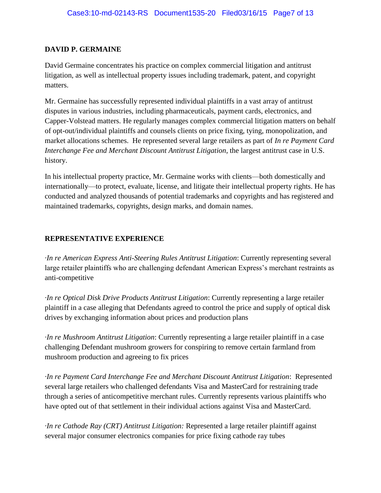#### **DAVID P. GERMAINE**

David Germaine concentrates his practice on complex commercial litigation and antitrust litigation, as well as intellectual property issues including trademark, patent, and copyright matters.

Mr. Germaine has successfully represented individual plaintiffs in a vast array of antitrust disputes in various industries, including pharmaceuticals, payment cards, electronics, and Capper-Volstead matters. He regularly manages complex commercial litigation matters on behalf of opt-out/individual plaintiffs and counsels clients on price fixing, tying, monopolization, and market allocations schemes. He represented several large retailers as part of *In re Payment Card Interchange Fee and Merchant Discount Antitrust Litigation*, the largest antitrust case in U.S. history.

In his intellectual property practice, Mr. Germaine works with clients—both domestically and internationally—to protect, evaluate, license, and litigate their intellectual property rights. He has conducted and analyzed thousands of potential trademarks and copyrights and has registered and maintained trademarks, copyrights, design marks, and domain names.

#### **REPRESENTATIVE EXPERIENCE**

*·In re American Express Anti-Steering Rules Antitrust Litigation*: Currently representing several large retailer plaintiffs who are challenging defendant American Express's merchant restraints as anti-competitive

*·In re Optical Disk Drive Products Antitrust Litigation*: Currently representing a large retailer plaintiff in a case alleging that Defendants agreed to control the price and supply of optical disk drives by exchanging information about prices and production plans

*·In re Mushroom Antitrust Litigation*: Currently representing a large retailer plaintiff in a case challenging Defendant mushroom growers for conspiring to remove certain farmland from mushroom production and agreeing to fix prices

*·In re Payment Card Interchange Fee and Merchant Discount Antitrust Litigation*: Represented several large retailers who challenged defendants Visa and MasterCard for restraining trade through a series of anticompetitive merchant rules. Currently represents various plaintiffs who have opted out of that settlement in their individual actions against Visa and MasterCard.

*·In re Cathode Ray (CRT) Antitrust Litigation:* Represented a large retailer plaintiff against several major consumer electronics companies for price fixing cathode ray tubes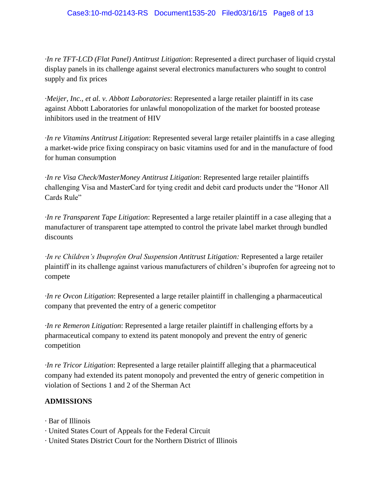#### Case3:10-md-02143-RS Document1535-20 Filed03/16/15 Page8 of 13

*·In re TFT-LCD (Flat Panel) Antitrust Litigation*: Represented a direct purchaser of liquid crystal display panels in its challenge against several electronics manufacturers who sought to control supply and fix prices

*·Meijer, Inc., et al. v. Abbott Laboratories*: Represented a large retailer plaintiff in its case against Abbott Laboratories for unlawful monopolization of the market for boosted protease inhibitors used in the treatment of HIV

*·In re Vitamins Antitrust Litigation*: Represented several large retailer plaintiffs in a case alleging a market-wide price fixing conspiracy on basic vitamins used for and in the manufacture of food for human consumption

*·In re Visa Check/MasterMoney Antitrust Litigation*: Represented large retailer plaintiffs challenging Visa and MasterCard for tying credit and debit card products under the "Honor All Cards Rule"

*·In re Transparent Tape Litigation*: Represented a large retailer plaintiff in a case alleging that a manufacturer of transparent tape attempted to control the private label market through bundled discounts

*In re Children's Ibuprofen Oral Suspension Antitrust Litigation: Represented a large retailer* plaintiff in its challenge against various manufacturers of children's ibuprofen for agreeing not to compete

*·In re Ovcon Litigation*: Represented a large retailer plaintiff in challenging a pharmaceutical company that prevented the entry of a generic competitor

*·In re Remeron Litigation*: Represented a large retailer plaintiff in challenging efforts by a pharmaceutical company to extend its patent monopoly and prevent the entry of generic competition

*·In re Tricor Litigation*: Represented a large retailer plaintiff alleging that a pharmaceutical company had extended its patent monopoly and prevented the entry of generic competition in violation of Sections 1 and 2 of the Sherman Act

#### **ADMISSIONS**

- *·* Bar of Illinois
- *·* United States Court of Appeals for the Federal Circuit
- *·* United States District Court for the Northern District of Illinois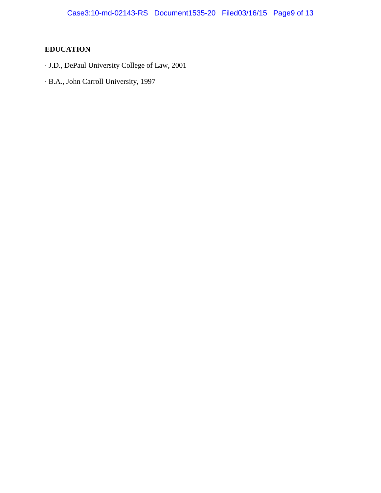### **EDUCATION**

- *·* J.D., DePaul University College of Law, 2001
- *·* B.A., John Carroll University, 1997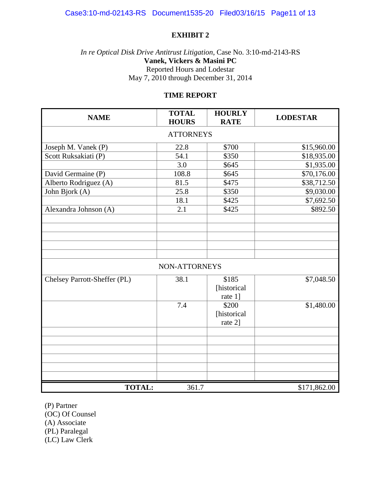#### *In re Optical Disk Drive Antitrust Litigation*, Case No. 3:10-md-2143-RS **Vanek, Vickers & Masini PC** Reported Hours and Lodestar May 7, 2010 through December 31, 2014

#### **TIME REPORT**

| <b>NAME</b>                  | <b>TOTAL</b><br><b>HOURS</b> | <b>HOURLY</b><br><b>RATE</b> | <b>LODESTAR</b> |  |  |  |
|------------------------------|------------------------------|------------------------------|-----------------|--|--|--|
| <b>ATTORNEYS</b>             |                              |                              |                 |  |  |  |
| Joseph M. Vanek (P)          | 22.8                         | \$700                        | \$15,960.00     |  |  |  |
| Scott Ruksakiati (P)         | 54.1                         | \$350                        | \$18,935.00     |  |  |  |
|                              | 3.0                          | \$645                        | \$1,935.00      |  |  |  |
| David Germaine (P)           | 108.8                        | \$645                        | \$70,176.00     |  |  |  |
| Alberto Rodriguez (A)        | 81.5                         | \$475                        | \$38,712.50     |  |  |  |
| John Bjork (A)               | 25.8                         | \$350                        | \$9,030.00      |  |  |  |
|                              | 18.1                         | \$425                        | \$7,692.50      |  |  |  |
| Alexandra Johnson (A)        | 2.1                          | \$425                        | \$892.50        |  |  |  |
|                              |                              |                              |                 |  |  |  |
|                              |                              |                              |                 |  |  |  |
|                              |                              |                              |                 |  |  |  |
|                              |                              |                              |                 |  |  |  |
| NON-ATTORNEYS                |                              |                              |                 |  |  |  |
| Chelsey Parrott-Sheffer (PL) | 38.1                         | \$185                        | \$7,048.50      |  |  |  |
|                              |                              | [historical                  |                 |  |  |  |
|                              |                              | rate 1]                      |                 |  |  |  |
|                              | 7.4                          | \$200                        | \$1,480.00      |  |  |  |
|                              |                              | [historical                  |                 |  |  |  |
|                              |                              | rate 2]                      |                 |  |  |  |
|                              |                              |                              |                 |  |  |  |
|                              |                              |                              |                 |  |  |  |
|                              |                              |                              |                 |  |  |  |
|                              |                              |                              |                 |  |  |  |
|                              |                              |                              |                 |  |  |  |
|                              |                              |                              |                 |  |  |  |
| <b>TOTAL:</b>                | 361.7                        |                              | \$171,862.00    |  |  |  |

(P) Partner

(OC) Of Counsel

(A) Associate

(PL) Paralegal

(LC) Law Clerk